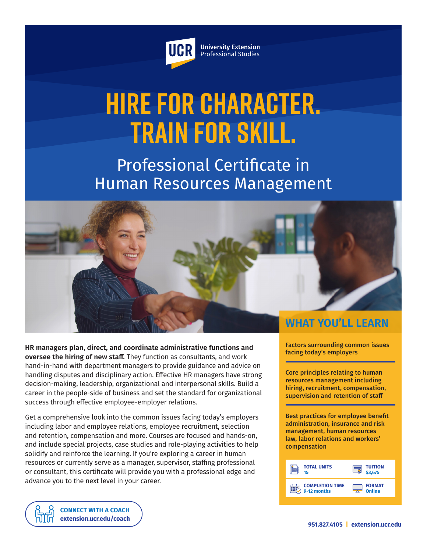

**University Extension** Professional Studies

# **Hire for Character. Train for Skill.**

Professional Certificate in Human Resources Management



**HR managers plan, direct, and coordinate administrative functions and oversee the hiring of new staff.** They function as consultants, and work hand-in-hand with department managers to provide guidance and advice on handling disputes and disciplinary action. Effective HR managers have strong decision-making, leadership, organizational and interpersonal skills. Build a career in the people-side of business and set the standard for organizational success through effective employee-employer relations.

Get a comprehensive look into the common issues facing today's employers including labor and employee relations, employee recruitment, selection and retention, compensation and more. Courses are focused and hands-on, and include special projects, case studies and role-playing activities to help solidify and reinforce the learning. If you're exploring a career in human resources or currently serve as a manager, supervisor, staffing professional or consultant, this certificate will provide you with a professional edge and advance you to the next level in your career.

Factors surrounding common issues facing today's employers

Core principles relating to human resources management including hiring, recruitment, compensation, supervision and retention of staff

Best practices for employee benefit administration, insurance and risk management, human resources law, labor relations and workers' compensation



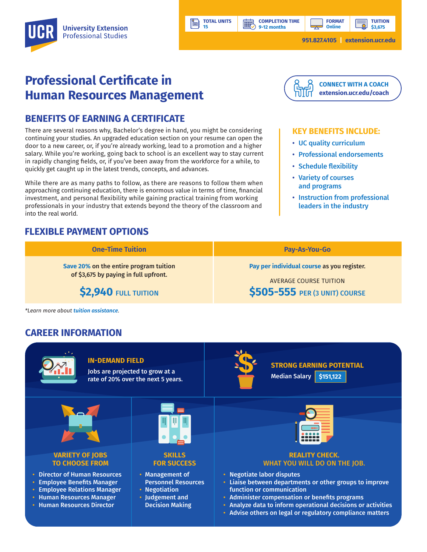**9-12 months**

**HILL** 

**TUITION \$3,675**

## **Professional Certificate in Human Resources Management**

### **BENEFITS OF EARNING A CERTIFICATE**

There are several reasons why, Bachelor's degree in hand, you might be considering continuing your studies. An upgraded education section on your resume can open the door to a new career, or, if you're already working, lead to a promotion and a higher salary. While you're working, going back to school is an excellent way to stay current in rapidly changing fields, or, if you've been away from the workforce for a while, to quickly get caught up in the latest trends, concepts, and advances.

While there are as many paths to follow, as there are reasons to follow them when approaching continuing education, there is enormous value in terms of time, financial investment, and personal flexibility while gaining practical training from working professionals in your industry that extends beyond the theory of the classroom and into the real world.

## **FLEXIBLE PAYMENT OPTIONS**



#### **KEY BENEFITS INCLUDE:**

- UC quality curriculum
- Professional endorsements
- Schedule flexibility
- Variety of courses and programs
- Instruction from professional leaders in the industry

| <b>One-Time Tuition</b>                | <b>Pay-As-You-Go</b>                       |
|----------------------------------------|--------------------------------------------|
| Save 20% on the entire program tuition | Pay per individual course as you register. |
| of \$3,675 by paying in full upfront.  | AVERAGE COURSE TUITION                     |
| \$2,940 FULL TUITION                   | <b>\$505-555</b> PER (3 UNIT) COURSE       |

**TOTAL UNITS 15**

*\*Learn more about [tuition assistance](https://extension.ucr.edu/helpcenterstudentresources/financialandtuitionassistance).*

## **CAREER INFORMATION**